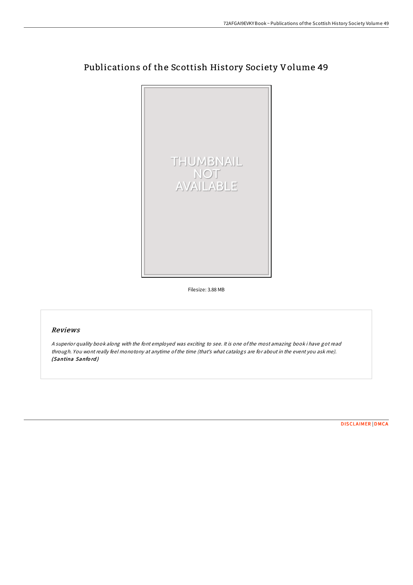

## Publications of the Scottish History Society Volume 49

Filesize: 3.88 MB

## Reviews

<sup>A</sup> superior quality book along with the font employed was exciting to see. It is one ofthe most amazing book i have got read through. You wont really feel monotony at anytime ofthe time (that's what catalogs are for about in the event you ask me). (Santina Sanford)

[DISCLAIMER](http://almighty24.tech/disclaimer.html) | [DMCA](http://almighty24.tech/dmca.html)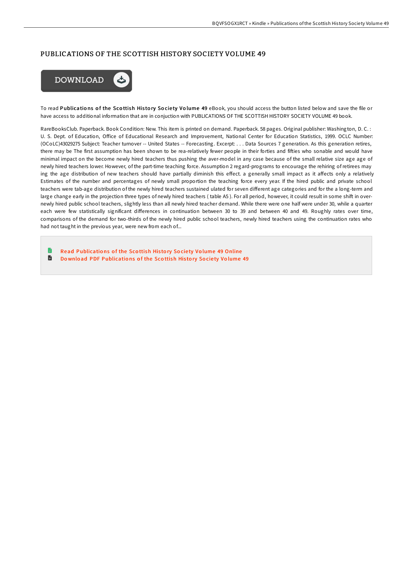## PUBLICATIONS OF THE SCOTTISH HISTORY SOCIETY VOLUME 49



To read Publications of the Scottish History Society Volume 49 eBook, you should access the button listed below and save the file or have access to additional information that are in conjuction with PUBLICATIONS OF THE SCOTTISH HISTORY SOCIETY VOLUME 49 book.

RareBooksClub. Paperback. Book Condition: New. This item is printed on demand. Paperback. 58 pages. Original publisher: Washington, D. C. : U. S. Dept. of Education, Office of Educational Research and Improvement, National Center for Education Statistics, 1999. OCLC Number: (OCoLC)43029275 Subject: Teacher turnover -- United States -- Forecasting. Excerpt: . . . Data Sources 7 generation. As this generation retires, there may be The first assumption has been shown to be rea-relatively fewer people in their forties and fifties who sonable and would have minimal impact on the become newly hired teachers thus pushing the aver-model in any case because of the small relative size age age of newly hired teachers lower. However, of the part-time teaching force. Assumption 2 regard-programs to encourage the rehiring of retirees may ing the age distribution of new teachers should have partially diminish this effect. a generally small impact as it affects only a relatively Estimates of the number and percentages of newly small proportion the teaching force every year. If the hired public and private school teachers were tab-age distribution of the newly hired teachers sustained ulated for seven different age categories and for the a long-term and large change early in the projection three types of newly hired teachers (table A5). For all period, however, it could result in some shift in overnewly hired public school teachers, slightly less than all newly hired teacher demand. While there were one half were under 30, while a quarter each were few statistically significant differences in continuation between 30 to 39 and between 40 and 49. Roughly rates over time, comparisons of the demand for two-thirds of the newly hired public school teachers, newly hired teachers using the continuation rates who had not taught in the previous year, were new from each of...

Read [Publicatio](http://almighty24.tech/publications-of-the-scottish-history-society-vol-2.html)ns of the Scottish History Society Volume 49 Online D Download PDF [Publicatio](http://almighty24.tech/publications-of-the-scottish-history-society-vol-2.html)ns of the Scottish History Society Volume 49